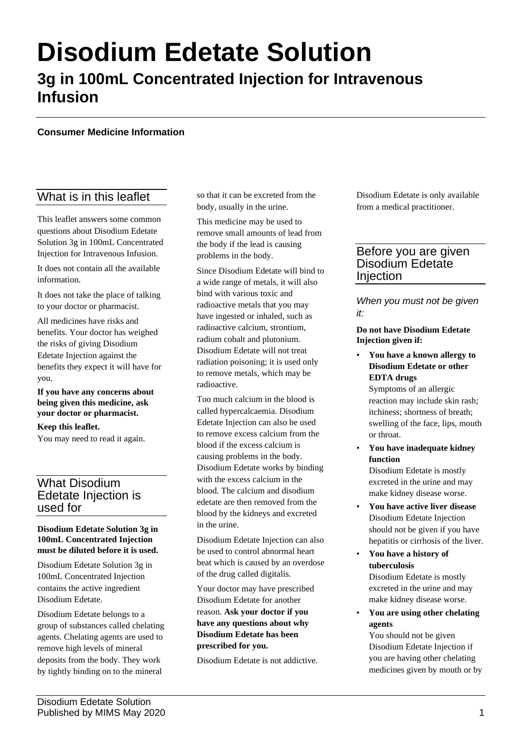# **Disodium Edetate Solution**

# **3g in 100mL Concentrated Injection for Intravenous Infusion**

#### **Consumer Medicine Information**

# What is in this leaflet

This leaflet answers some common questions about Disodium Edetate Solution 3g in 100mL Concentrated Injection for Intravenous Infusion.

It does not contain all the available information.

It does not take the place of talking to your doctor or pharmacist.

All medicines have risks and benefits. Your doctor has weighed the risks of giving Disodium Edetate Injection against the benefits they expect it will have for you.

**If you have any concerns about being given this medicine, ask your doctor or pharmacist.**

**Keep this leaflet.** You may need to read it again.

# What Disodium Edetate Injection is used for

#### **Disodium Edetate Solution 3g in 100mL Concentrated Injection must be diluted before it is used.**

Disodium Edetate Solution 3g in 100mL Concentrated Injection contains the active ingredient Disodium Edetate.

Disodium Edetate belongs to a group of substances called chelating agents. Chelating agents are used to remove high levels of mineral deposits from the body. They work by tightly binding on to the mineral

so that it can be excreted from the body, usually in the urine.

This medicine may be used to remove small amounts of lead from the body if the lead is causing problems in the body.

Since Disodium Edetate will bind to a wide range of metals, it will also bind with various toxic and radioactive metals that you may have ingested or inhaled, such as radioactive calcium, strontium, radium cobalt and plutonium. Disodium Edetate will not treat radiation poisoning; it is used only to remove metals, which may be radioactive.

Too much calcium in the blood is called hypercalcaemia. Disodium Edetate Injection can also be used to remove excess calcium from the blood if the excess calcium is causing problems in the body. Disodium Edetate works by binding with the excess calcium in the blood. The calcium and disodium edetate are then removed from the blood by the kidneys and excreted in the urine.

Disodium Edetate Injection can also be used to control abnormal heart beat which is caused by an overdose of the drug called digitalis.

Your doctor may have prescribed Disodium Edetate for another reason. **Ask your doctor if you have any questions about why Disodium Edetate has been prescribed for you.**

Disodium Edetate is not addictive.

Disodium Edetate is only available from a medical practitioner.

# Before you are given Disodium Edetate Injection

*When you must not be given it:*

#### **Do not have Disodium Edetate Injection given if:**

• **You have a known allergy to Disodium Edetate or other EDTA drugs**

Symptoms of an allergic reaction may include skin rash; itchiness; shortness of breath; swelling of the face, lips, mouth or throat.

• **You have inadequate kidney function**

Disodium Edetate is mostly excreted in the urine and may make kidney disease worse.

- **You have active liver disease** Disodium Edetate Injection should not be given if you have hepatitis or cirrhosis of the liver.
- **You have a history of tuberculosis** Disodium Edetate is mostly excreted in the urine and may make kidney disease worse.
- **You are using other chelating agents**

You should not be given Disodium Edetate Injection if you are having other chelating medicines given by mouth or by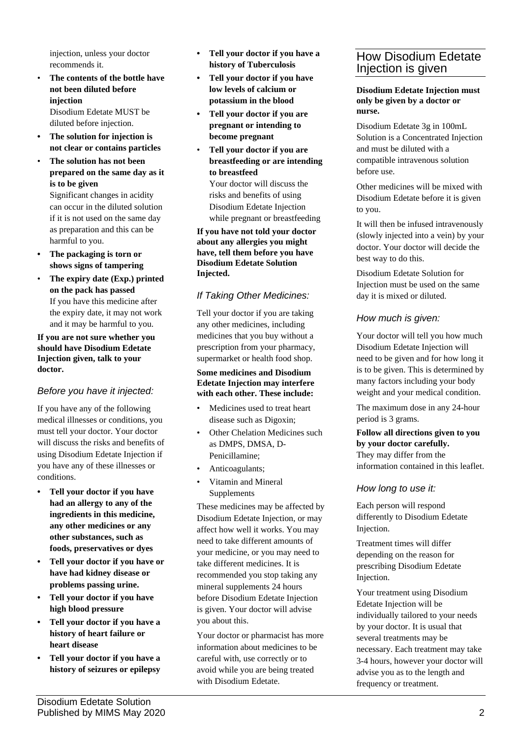injection, unless your doctor recommends it.

• **The contents of the bottle have not been diluted before injection**

Disodium Edetate MUST be diluted before injection.

- **• The solution for injection is not clear or contains particles**
- **The solution has not been prepared on the same day as it is to be given**

Significant changes in acidity can occur in the diluted solution if it is not used on the same day as preparation and this can be harmful to you.

- **• The packaging is torn or shows signs of tampering**
- **The expiry date (Exp.) printed on the pack has passed** If you have this medicine after the expiry date, it may not work and it may be harmful to you.

#### **If you are not sure whether you should have Disodium Edetate Injection given, talk to your doctor.**

# *Before you have it injected:*

If you have any of the following medical illnesses or conditions, you must tell your doctor. Your doctor will discuss the risks and benefits of using Disodium Edetate Injection if you have any of these illnesses or conditions.

- **• Tell your doctor if you have had an allergy to any of the ingredients in this medicine, any other medicines or any other substances, such as foods, preservatives or dyes**
- **• Tell your doctor if you have or have had kidney disease or problems passing urine.**
- **• Tell your doctor if you have high blood pressure**
- **• Tell your doctor if you have a history of heart failure or heart disease**
- **• Tell your doctor if you have a history of seizures or epilepsy**
- **• Tell your doctor if you have a history of Tuberculosis**
- **• Tell your doctor if you have low levels of calcium or potassium in the blood**
- **• Tell your doctor if you are pregnant or intending to become pregnant**
- **Tell your doctor if you are breastfeeding or are intending to breastfeed** Your doctor will discuss the risks and benefits of using Disodium Edetate Injection

**If you have not told your doctor about any allergies you might have, tell them before you have Disodium Edetate Solution Injected.**

while pregnant or breastfeeding

# *If Taking Other Medicines:*

Tell your doctor if you are taking any other medicines, including medicines that you buy without a prescription from your pharmacy, supermarket or health food shop.

#### **Some medicines and Disodium Edetate Injection may interfere with each other. These include:**

- Medicines used to treat heart disease such as Digoxin;
- Other Chelation Medicines such as DMPS, DMSA, D-Penicillamine;
- Anticoagulants;
- Vitamin and Mineral Supplements

These medicines may be affected by Disodium Edetate Injection, or may affect how well it works. You may need to take different amounts of your medicine, or you may need to take different medicines. It is recommended you stop taking any mineral supplements 24 hours before Disodium Edetate Injection is given. Your doctor will advise you about this.

Your doctor or pharmacist has more information about medicines to be careful with, use correctly or to avoid while you are being treated with Disodium Edetate.

# How Disodium Edetate Injection is given

**Disodium Edetate Injection must only be given by a doctor or nurse.**

Disodium Edetate 3g in 100mL Solution is a Concentrated Injection and must be diluted with a compatible intravenous solution before use.

Other medicines will be mixed with Disodium Edetate before it is given to you.

It will then be infused intravenously (slowly injected into a vein) by your doctor. Your doctor will decide the best way to do this.

Disodium Edetate Solution for Injection must be used on the same day it is mixed or diluted.

# *How much is given:*

Your doctor will tell you how much Disodium Edetate Injection will need to be given and for how long it is to be given. This is determined by many factors including your body weight and your medical condition.

The maximum dose in any 24-hour period is 3 grams.

#### **Follow all directions given to you by your doctor carefully.** They may differ from the information contained in this leaflet.

### *How long to use it:*

Each person will respond differently to Disodium Edetate Injection.

Treatment times will differ depending on the reason for prescribing Disodium Edetate Injection.

Your treatment using Disodium Edetate Injection will be individually tailored to your needs by your doctor. It is usual that several treatments may be necessary. Each treatment may take 3-4 hours, however your doctor will advise you as to the length and frequency or treatment.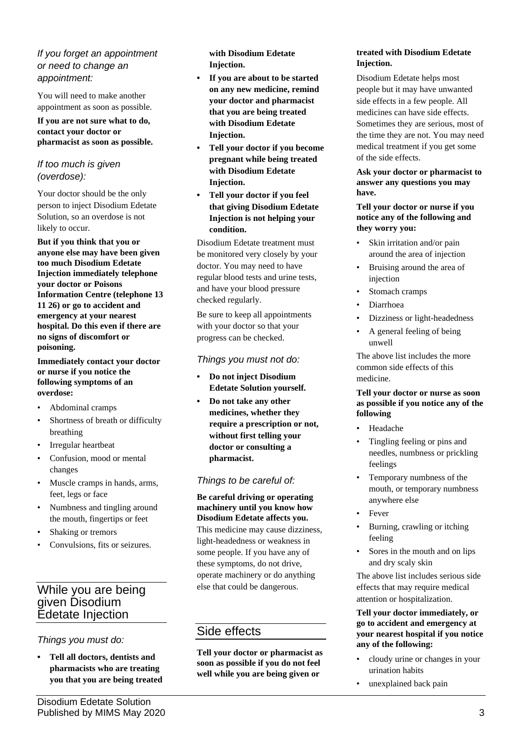#### *If you forget an appointment or need to change an appointment:*

You will need to make another appointment as soon as possible.

#### **If you are not sure what to do, contact your doctor or pharmacist as soon as possible.**

### *If too much is given (overdose):*

Your doctor should be the only person to inject Disodium Edetate Solution, so an overdose is not likely to occur.

**But if you think that you or anyone else may have been given too much Disodium Edetate Injection immediately telephone your doctor or Poisons Information Centre (telephone 13 11 26) or go to accident and emergency at your nearest hospital. Do this even if there are no signs of discomfort or poisoning.**

**Immediately contact your doctor or nurse if you notice the following symptoms of an overdose:**

- Abdominal cramps
- Shortness of breath or difficulty breathing
- Irregular heartbeat
- Confusion, mood or mental changes
- Muscle cramps in hands, arms, feet, legs or face
- Numbness and tingling around the mouth, fingertips or feet
- Shaking or tremors
- Convulsions, fits or seizures.

# While you are being given Disodium Edetate Injection

# *Things you must do:*

**• Tell all doctors, dentists and pharmacists who are treating you that you are being treated**  **with Disodium Edetate Injection.**

- **• If you are about to be started on any new medicine, remind your doctor and pharmacist that you are being treated with Disodium Edetate Injection.**
- **• Tell your doctor if you become pregnant while being treated with Disodium Edetate Injection.**
- **• Tell your doctor if you feel that giving Disodium Edetate Injection is not helping your condition.**

Disodium Edetate treatment must be monitored very closely by your doctor. You may need to have regular blood tests and urine tests, and have your blood pressure checked regularly.

Be sure to keep all appointments with your doctor so that your progress can be checked.

#### *Things you must not do:*

- **• Do not inject Disodium Edetate Solution yourself.**
- **• Do not take any other medicines, whether they require a prescription or not, without first telling your doctor or consulting a pharmacist.**

### *Things to be careful of:*

**Be careful driving or operating machinery until you know how Disodium Edetate affects you.** This medicine may cause dizziness, light-headedness or weakness in some people. If you have any of these symptoms, do not drive, operate machinery or do anything else that could be dangerous.

# Side effects

**Tell your doctor or pharmacist as soon as possible if you do not feel well while you are being given or** 

#### **treated with Disodium Edetate Injection.**

Disodium Edetate helps most people but it may have unwanted side effects in a few people. All medicines can have side effects. Sometimes they are serious, most of the time they are not. You may need medical treatment if you get some of the side effects.

**Ask your doctor or pharmacist to answer any questions you may have.**

#### **Tell your doctor or nurse if you notice any of the following and they worry you:**

- Skin irritation and/or pain around the area of injection
- Bruising around the area of injection
- Stomach cramps
- Diarrhoea
- Dizziness or light-headedness
- A general feeling of being unwell

The above list includes the more common side effects of this medicine.

#### **Tell your doctor or nurse as soon as possible if you notice any of the following**

- Headache
- Tingling feeling or pins and needles, numbness or prickling feelings
- Temporary numbness of the mouth, or temporary numbness anywhere else
- Fever
- Burning, crawling or itching feeling
- Sores in the mouth and on lips and dry scaly skin

The above list includes serious side effects that may require medical attention or hospitalization.

#### **Tell your doctor immediately, or go to accident and emergency at your nearest hospital if you notice any of the following:**

- cloudy urine or changes in your urination habits
- unexplained back pain